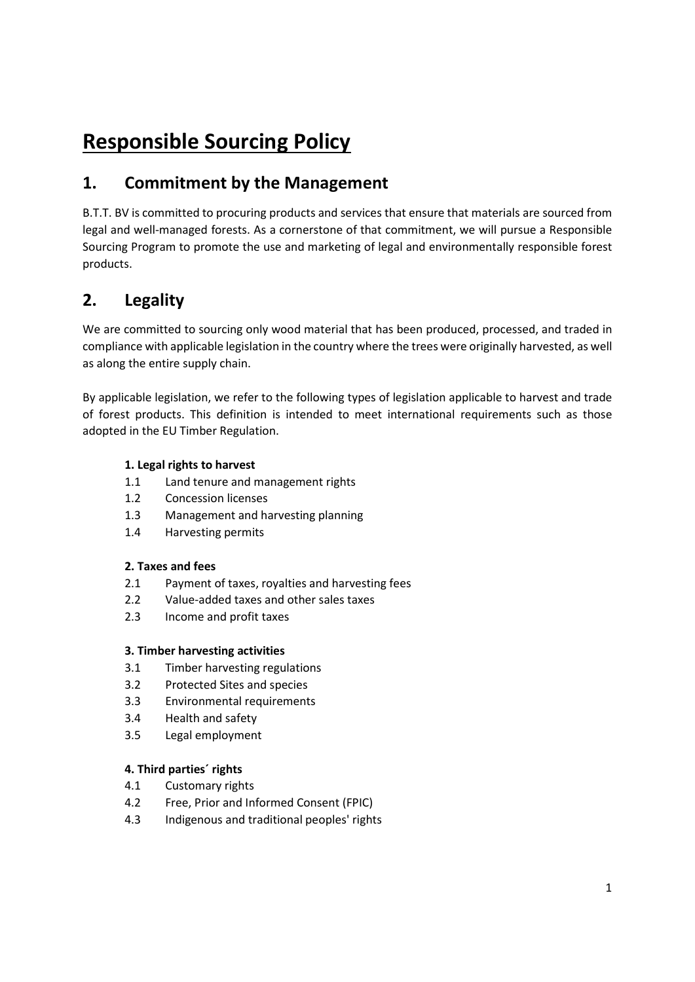# Responsible Sourcing Policy

# 1. Commitment by the Management

B.T.T. BV is committed to procuring products and services that ensure that materials are sourced from legal and well-managed forests. As a cornerstone of that commitment, we will pursue a Responsible Sourcing Program to promote the use and marketing of legal and environmentally responsible forest products.

# 2. Legality

We are committed to sourcing only wood material that has been produced, processed, and traded in compliance with applicable legislation in the country where the trees were originally harvested, as well as along the entire supply chain.

By applicable legislation, we refer to the following types of legislation applicable to harvest and trade of forest products. This definition is intended to meet international requirements such as those adopted in the EU Timber Regulation.

### 1. Legal rights to harvest

- 1.1 Land tenure and management rights
- 1.2 Concession licenses
- 1.3 Management and harvesting planning
- 1.4 Harvesting permits

### 2. Taxes and fees

- 2.1 Payment of taxes, royalties and harvesting fees
- 2.2 Value-added taxes and other sales taxes
- 2.3 Income and profit taxes

### 3. Timber harvesting activities

- 3.1 Timber harvesting regulations
- 3.2 Protected Sites and species
- 3.3 Environmental requirements
- 3.4 Health and safety
- 3.5 Legal employment

### 4. Third parties´ rights

- 4.1 Customary rights
- 4.2 Free, Prior and Informed Consent (FPIC)
- 4.3 Indigenous and traditional peoples' rights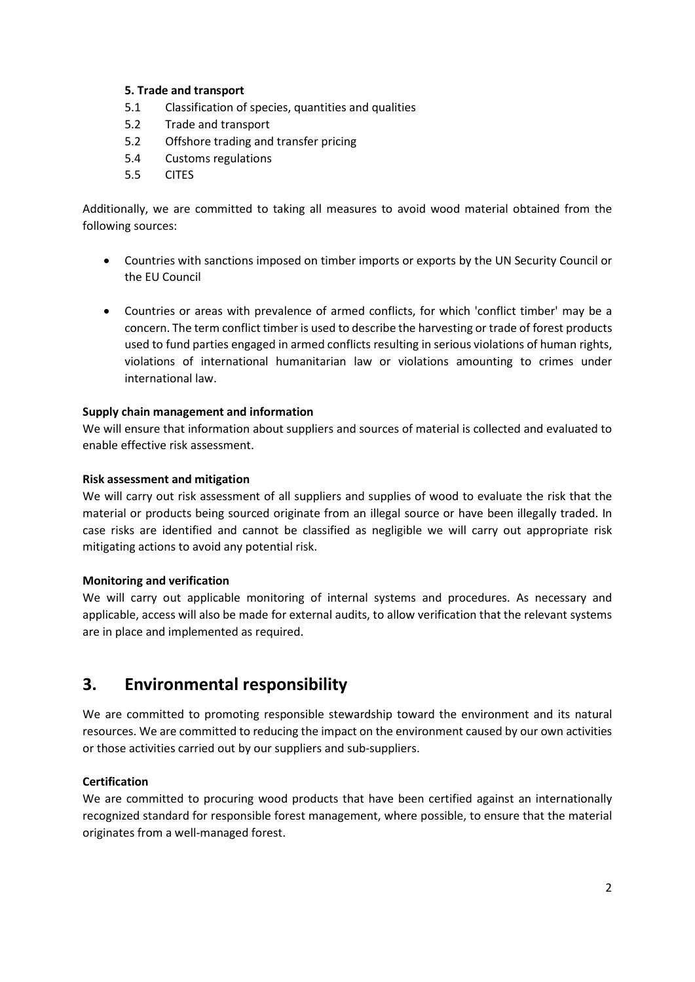### 5. Trade and transport

- 5.1 Classification of species, quantities and qualities
- 5.2 Trade and transport
- 5.2 Offshore trading and transfer pricing
- 5.4 Customs regulations
- 5.5 CITES

Additionally, we are committed to taking all measures to avoid wood material obtained from the following sources:

- Countries with sanctions imposed on timber imports or exports by the UN Security Council or the EU Council
- Countries or areas with prevalence of armed conflicts, for which 'conflict timber' may be a concern. The term conflict timber is used to describe the harvesting or trade of forest products used to fund parties engaged in armed conflicts resulting in serious violations of human rights, violations of international humanitarian law or violations amounting to crimes under international law.

#### Supply chain management and information

We will ensure that information about suppliers and sources of material is collected and evaluated to enable effective risk assessment.

#### Risk assessment and mitigation

We will carry out risk assessment of all suppliers and supplies of wood to evaluate the risk that the material or products being sourced originate from an illegal source or have been illegally traded. In case risks are identified and cannot be classified as negligible we will carry out appropriate risk mitigating actions to avoid any potential risk.

#### Monitoring and verification

We will carry out applicable monitoring of internal systems and procedures. As necessary and applicable, access will also be made for external audits, to allow verification that the relevant systems are in place and implemented as required.

## 3. Environmental responsibility

We are committed to promoting responsible stewardship toward the environment and its natural resources. We are committed to reducing the impact on the environment caused by our own activities or those activities carried out by our suppliers and sub-suppliers.

#### **Certification**

We are committed to procuring wood products that have been certified against an internationally recognized standard for responsible forest management, where possible, to ensure that the material originates from a well-managed forest.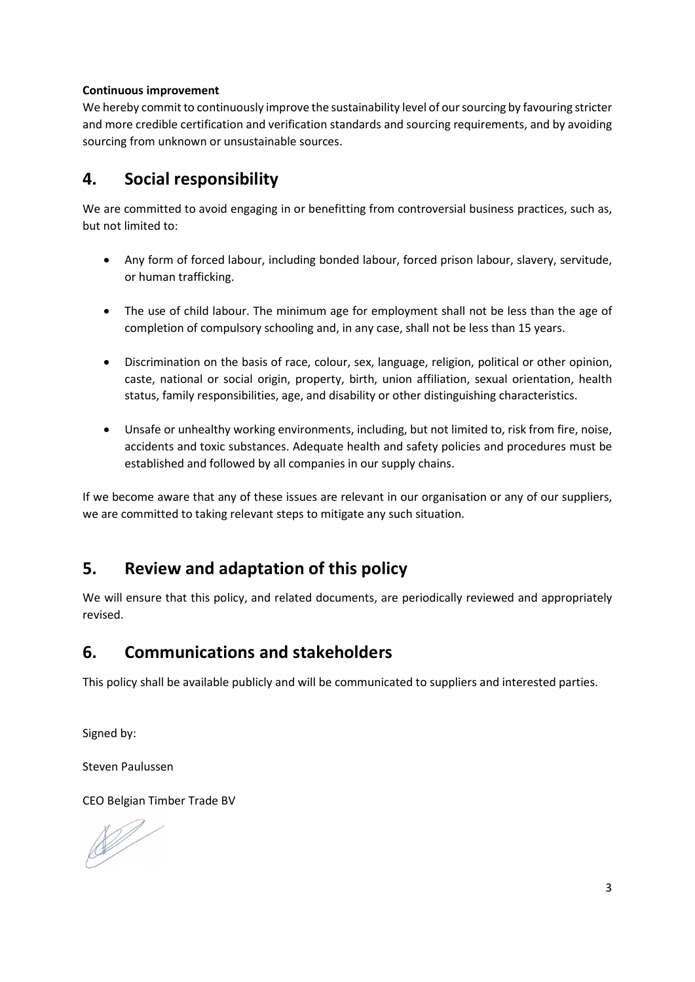### Continuous improvement

We hereby commit to continuously improve the sustainability level of our sourcing by favouring stricter and more credible certification and verification standards and sourcing requirements, and by avoiding sourcing from unknown or unsustainable sources.

# 4. Social responsibility

We are committed to avoid engaging in or benefitting from controversial business practices, such as, but not limited to:

- Any form of forced labour, including bonded labour, forced prison labour, slavery, servitude, or human trafficking.
- The use of child labour. The minimum age for employment shall not be less than the age of completion of compulsory schooling and, in any case, shall not be less than 15 years.
- Discrimination on the basis of race, colour, sex, language, religion, political or other opinion, caste, national or social origin, property, birth, union affiliation, sexual orientation, health status, family responsibilities, age, and disability or other distinguishing characteristics.
- Unsafe or unhealthy working environments, including, but not limited to, risk from fire, noise, accidents and toxic substances. Adequate health and safety policies and procedures must be established and followed by all companies in our supply chains.

If we become aware that any of these issues are relevant in our organisation or any of our suppliers, we are committed to taking relevant steps to mitigate any such situation.

# 5. Review and adaptation of this policy

We will ensure that this policy, and related documents, are periodically reviewed and appropriately revised.

# 6. Communications and stakeholders

This policy shall be available publicly and will be communicated to suppliers and interested parties.

Signed by:

Steven Paulussen

CEO Belgian Timber Trade BV

 $\mathbb{Z}^2$